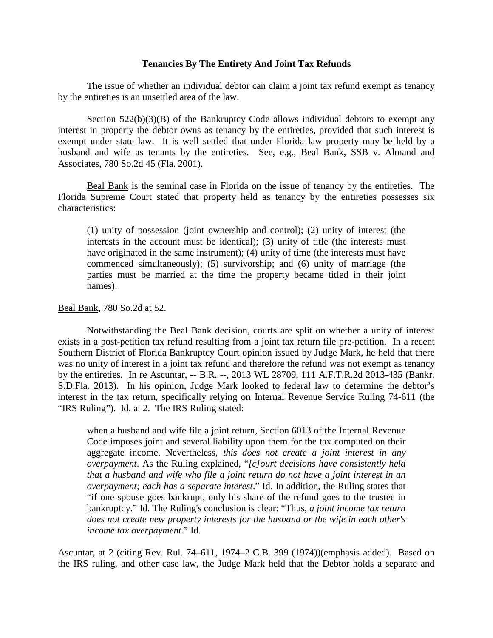## **Tenancies By The Entirety And Joint Tax Refunds**

The issue of whether an individual debtor can claim a joint tax refund exempt as tenancy by the entireties is an unsettled area of the law.

Section  $522(b)(3)(B)$  of the Bankruptcy Code allows individual debtors to exempt any interest in property the debtor owns as tenancy by the entireties, provided that such interest is exempt under state law. It is well settled that under Florida law property may be held by a husband and wife as tenants by the entireties. See, e.g., Beal Bank, SSB v. Almand and Associates, 780 So.2d 45 (Fla. 2001).

Beal Bank is the seminal case in Florida on the issue of tenancy by the entireties. The Florida Supreme Court stated that property held as tenancy by the entireties possesses six characteristics:

(1) unity of possession (joint ownership and control); (2) unity of interest (the interests in the account must be identical); (3) unity of title (the interests must have originated in the same instrument); (4) unity of time (the interests must have commenced simultaneously); (5) survivorship; and (6) unity of marriage (the parties must be married at the time the property became titled in their joint names).

## Beal Bank, 780 So.2d at 52.

Notwithstanding the Beal Bank decision, courts are split on whether a unity of interest exists in a post-petition tax refund resulting from a joint tax return file pre-petition. In a recent Southern District of Florida Bankruptcy Court opinion issued by Judge Mark, he held that there was no unity of interest in a joint tax refund and therefore the refund was not exempt as tenancy by the entireties. In re Ascuntar, -- B.R. --, 2013 WL 28709, 111 A.F.T.R.2d 2013-435 (Bankr. S.D.Fla. 2013). In his opinion, Judge Mark looked to federal law to determine the debtor's interest in the tax return, specifically relying on Internal Revenue Service Ruling 74-611 (the "IRS Ruling"). Id. at 2. The IRS Ruling stated:

when a husband and wife file a joint return, Section 6013 of the Internal Revenue Code imposes joint and several liability upon them for the tax computed on their aggregate income. Nevertheless, *this does not create a joint interest in any overpayment*. As the Ruling explained, "*[c]ourt decisions have consistently held that a husband and wife who file a joint return do not have a joint interest in an overpayment; each has a separate interest*." Id. In addition, the Ruling states that "if one spouse goes bankrupt, only his share of the refund goes to the trustee in bankruptcy." Id. The Ruling's conclusion is clear: "Thus, *a joint income tax return does not create new property interests for the husband or the wife in each other's income tax overpayment.*" Id.

Ascuntar, at 2 (citing Rev. Rul. 74–611, 1974–2 C.B. 399 (1974))(emphasis added). Based on the IRS ruling, and other case law, the Judge Mark held that the Debtor holds a separate and